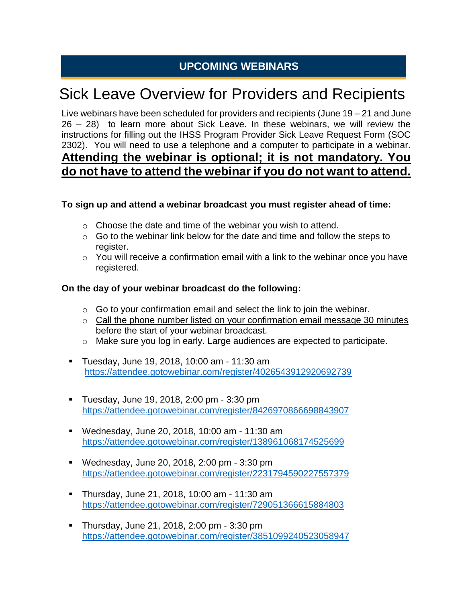## **UPCOMING WEBINARS**

# Sick Leave Overview for Providers and Recipients

Live webinars have been scheduled for providers and recipients (June 19 – 21 and June 26 – 28) to learn more about Sick Leave. In these webinars, we will review the instructions for filling out the IHSS Program Provider Sick Leave Request Form (SOC 2302). You will need to use a telephone and a computer to participate in a webinar. **Attending the webinar is optional; it is not mandatory. You do not have to attend the webinar if you do not want to attend.** 

#### **To sign up and attend a webinar broadcast you must register ahead of time:**

- o Choose the date and time of the webinar you wish to attend.
- $\circ$  Go to the webinar link below for the date and time and follow the steps to register.
- $\circ$  You will receive a confirmation email with a link to the webinar once you have registered.

#### **On the day of your webinar broadcast do the following:**

- $\circ$  Go to your confirmation email and select the link to join the webinar.
- o Call the phone number listed on your confirmation email message 30 minutes before the start of your webinar broadcast.
- o Make sure you log in early. Large audiences are expected to participate.
- Tuesday, June 19, 2018, 10:00 am 11:30 am [https://attendee.gotowebinar.com/register/4026543912920692739](https://na01.safelinks.protection.outlook.com/?url=https%3A%2F%2Fattendee.gotowebinar.com%2Fregister%2F4026543912920692739&data=01%7C01%7C%7Cf86e757fe3ef422fcb9c08d5b60034a5%7C0235ba6b2cf04b75bc5dd6187ce33de3%7C0&sdata=QGwDCrxIBIZ%2FxoRs8qB7i2KcBPOMUUNIzKE3peRYhOI%3D&reserved=0)
- Tuesday, June 19, 2018, 2:00 pm 3:30 pm [https://attendee.gotowebinar.com/register/8426970866698843907](https://na01.safelinks.protection.outlook.com/?url=https%3A%2F%2Fattendee.gotowebinar.com%2Fregister%2F8426970866698843907&data=01%7C01%7C%7Cf86e757fe3ef422fcb9c08d5b60034a5%7C0235ba6b2cf04b75bc5dd6187ce33de3%7C0&sdata=7P2qkQCvrwfJQOH8a99878TGJb3k4AIRUgumS8l%2BM8U%3D&reserved=0)
- Wednesday, June 20, 2018, 10:00 am 11:30 am [https://attendee.gotowebinar.com/register/138961068174525699](https://na01.safelinks.protection.outlook.com/?url=https%3A%2F%2Fattendee.gotowebinar.com%2Fregister%2F138961068174525699&data=01%7C01%7C%7Cf86e757fe3ef422fcb9c08d5b60034a5%7C0235ba6b2cf04b75bc5dd6187ce33de3%7C0&sdata=dSbc1vFDu9lAkykjvGeqf58V%2Brp7AlqO9pfo4aWGGr4%3D&reserved=0)
- Wednesday, June 20, 2018, 2:00 pm 3:30 pm [https://attendee.gotowebinar.com/register/2231794590227557379](https://na01.safelinks.protection.outlook.com/?url=https%3A%2F%2Fattendee.gotowebinar.com%2Fregister%2F2231794590227557379&data=01%7C01%7C%7Cf86e757fe3ef422fcb9c08d5b60034a5%7C0235ba6b2cf04b75bc5dd6187ce33de3%7C0&sdata=wm81BUlaOX80%2FkkR%2FJnnRIBxmFK50fLbCjJ2KdS4%2FNg%3D&reserved=0)
- Thursday, June 21, 2018, 10:00 am 11:30 am [https://attendee.gotowebinar.com/register/729051366615884803](https://na01.safelinks.protection.outlook.com/?url=https%3A%2F%2Fattendee.gotowebinar.com%2Fregister%2F729051366615884803&data=01%7C01%7C%7Cf86e757fe3ef422fcb9c08d5b60034a5%7C0235ba6b2cf04b75bc5dd6187ce33de3%7C0&sdata=pNTaKaV7wDXM5D2PrnosRd4EaL0hHh4SlYyt4pZUiSo%3D&reserved=0)
- Thursday, June 21, 2018, 2:00 pm 3:30 pm <https://attendee.gotowebinar.com/register/3851099240523058947>